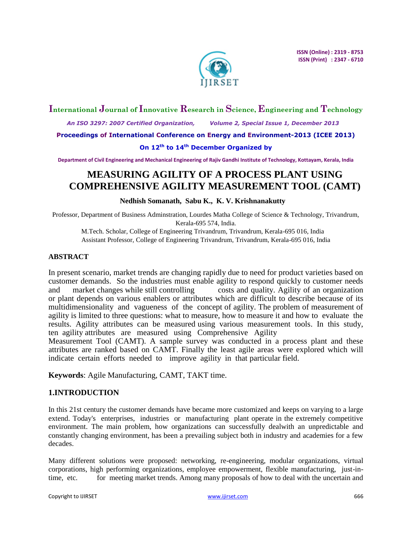

## **International Journal of Innovative Research in Science, Engineering and Technology**

 *An ISO 3297: 2007 Certified Organization, Volume 2, Special Issue 1, December 2013*

**Proceedings of International Conference on Energy and Environment-2013 (ICEE 2013)**

#### **On 12th to 14th December Organized by**

**Department of Civil Engineering and Mechanical Engineering of Rajiv Gandhi Institute of Technology, Kottayam, Kerala, India**

# **MEASURING AGILITY OF A PROCESS PLANT USING COMPREHENSIVE AGILITY MEASUREMENT TOOL (CAMT)**

#### **Nedhish Somanath, Sabu K., K. V. Krishnanakutty**

Professor, Department of Business Adminstration, Lourdes Matha College of Science & Technology, Trivandrum, Kerala-695 574, India.

M.Tech. Scholar, College of Engineering Trivandrum, Trivandrum, Kerala-695 016, India Assistant Professor, College of Engineering Trivandrum, Trivandrum, Kerala-695 016, India

#### **ABSTRACT**

In present scenario, market trends are changing rapidly due to need for product varieties based on customer demands. So the industries must enable agility to respond quickly to customer needs and market changes while still controlling costs and quality. Agility of an organization or plant depends on various enablers or attributes which are difficult to describe because of its multidimensionality and vagueness of the concept of agility. The problem of measurement of agility is limited to three questions: what to measure, how to measure it and how to evaluate the results. Agility attributes can be measured using various measurement tools. In this study, ten agility attributes are measured using Comprehensive Agility

Measurement Tool (CAMT). A sample survey was conducted in a process plant and these attributes are ranked based on CAMT. Finally the least agile areas were explored which will indicate certain efforts needed to improve agility in that particular field.

**Keywords**: Agile Manufacturing, CAMT, TAKT time.

## **1.INTRODUCTION**

In this 21st century the customer demands have became more customized and keeps on varying to a large extend. Today's enterprises, industries or manufacturing plant operate in the extremely competitive environment. The main problem, how organizations can successfully dealwith an unpredictable and constantly changing environment, has been a prevailing subject both in industry and academies for a few decades.

Many different solutions were proposed: networking, re-engineering, modular organizations, virtual corporations, high performing organizations, employee empowerment, flexible manufacturing, just-intime, etc. for meeting market trends. Among many proposals of how to deal with the uncertain and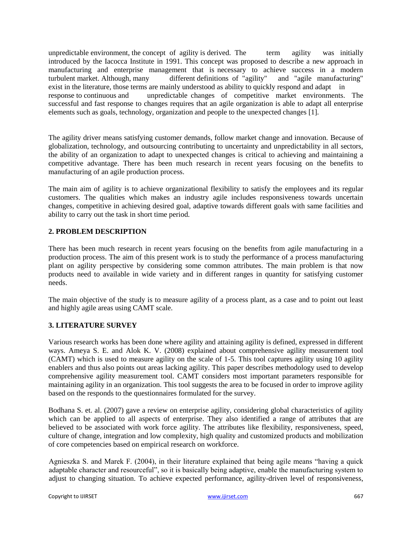unpredictable environment, the concept of agility is derived. The term agility was initially introduced by the Iacocca Institute in 1991. This concept was proposed to describe a new approach in manufacturing and enterprise management that is necessary to achieve success in a modern turbulent market. Although, many different definitions of "agility" and "agile manufacturing" turbulent market. Although, many exist in the literature, those terms are mainly understood as ability to quickly respond and adapt in response to continuous and unpredictable changes of competitive market environments. The successful and fast response to changes requires that an agile organization is able to adapt all enterprise elements such as goals, technology, organization and people to the unexpected changes [1].

The agility driver means satisfying customer demands, follow market change and innovation. Because of globalization, technology, and outsourcing contributing to uncertainty and unpredictability in all sectors, the ability of an organization to adapt to unexpected changes is critical to achieving and maintaining a competitive advantage. There has been much research in recent years focusing on the benefits to manufacturing of an agile production process.

The main aim of agility is to achieve organizational flexibility to satisfy the employees and its regular customers. The qualities which makes an industry agile includes responsiveness towards uncertain changes, competitive in achieving desired goal, adaptive towards different goals with same facilities and ability to carry out the task in short time period.

## **2. PROBLEM DESCRIPTION**

There has been much research in recent years focusing on the benefits from agile manufacturing in a production process. The aim of this present work is to study the performance of a process manufacturing plant on agility perspective by considering some common attributes. The main problem is that now products need to available in wide variety and in different ranges in quantity for satisfying customer needs.

The main objective of the study is to measure agility of a process plant, as a case and to point out least and highly agile areas using CAMT scale.

#### **3. LITERATURE SURVEY**

Various research works has been done where agility and attaining agility is defined, expressed in different ways. Ameya S. E. and Alok K. V. (2008) explained about comprehensive agility measurement tool (CAMT) which is used to measure agility on the scale of 1-5. This tool captures agility using 10 agility enablers and thus also points out areas lacking agility. This paper describes methodology used to develop comprehensive agility measurement tool. CAMT considers most important parameters responsible for maintaining agility in an organization. This tool suggests the area to be focused in order to improve agility based on the responds to the questionnaires formulated for the survey.

Bodhana S. et. al. (2007) gave a review on enterprise agility, considering global characteristics of agility which can be applied to all aspects of enterprise. They also identified a range of attributes that are believed to be associated with work force agility. The attributes like flexibility, responsiveness, speed, culture of change, integration and low complexity, high quality and customized products and mobilization of core competencies based on empirical research on workforce.

Agnieszka S. and Marek F. (2004), in their literature explained that being agile means "having a quick adaptable character and resourceful", so it is basically being adaptive, enable the manufacturing system to adjust to changing situation. To achieve expected performance, agility-driven level of responsiveness,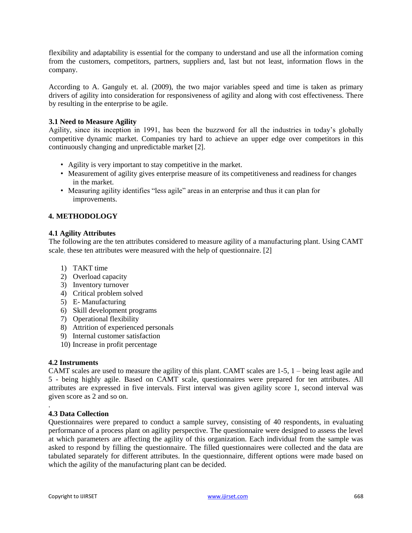flexibility and adaptability is essential for the company to understand and use all the information coming from the customers, competitors, partners, suppliers and, last but not least, information flows in the company.

According to A. Ganguly et. al. (2009), the two major variables speed and time is taken as primary drivers of agility into consideration for responsiveness of agility and along with cost effectiveness. There by resulting in the enterprise to be agile.

#### **3.1 Need to Measure Agility**

Agility, since its inception in 1991, has been the buzzword for all the industries in today's globally competitive dynamic market. Companies try hard to achieve an upper edge over competitors in this continuously changing and unpredictable market [2].

- Agility is very important to stay competitive in the market.
- Measurement of agility gives enterprise measure of its competitiveness and readiness for changes in the market.
- Measuring agility identifies "less agile" areas in an enterprise and thus it can plan for improvements.

#### **4. METHODOLOGY**

#### **4.1 Agility Attributes**

The following are the ten attributes considered to measure agility of a manufacturing plant. Using CAMT scale, these ten attributes were measured with the help of questionnaire. [2]

- 1) TAKT time
- 2) Overload capacity
- 3) Inventory turnover
- 4) Critical problem solved
- 5) E- Manufacturing
- 6) Skill development programs
- 7) Operational flexibility
- 8) Attrition of experienced personals
- 9) Internal customer satisfaction
- 10) Increase in profit percentage

#### **4.2 Instruments**

CAMT scales are used to measure the agility of this plant. CAMT scales are 1-5, 1 – being least agile and 5 - being highly agile. Based on CAMT scale, questionnaires were prepared for ten attributes. All attributes are expressed in five intervals. First interval was given agility score 1, second interval was given score as 2 and so on.

#### **4.3 Data Collection**

.

Questionnaires were prepared to conduct a sample survey, consisting of 40 respondents, in evaluating performance of a process plant on agility perspective. The questionnaire were designed to assess the level at which parameters are affecting the agility of this organization. Each individual from the sample was asked to respond by filling the questionnaire. The filled questionnaires were collected and the data are tabulated separately for different attributes. In the questionnaire, different options were made based on which the agility of the manufacturing plant can be decided.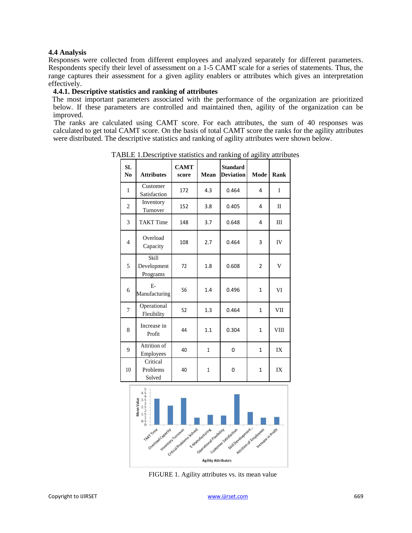#### **4.4 Analysis**

Responses were collected from different employees and analyzed separately for different parameters. Respondents specify their level of assessment on a 1-5 CAMT scale for a series of statements. Thus, the range captures their assessment for a given agility enablers or attributes which gives an interpretation effectively.

#### **4.4.1. Descriptive statistics and ranking of attributes**

The most important parameters associated with the performance of the organization are prioritized below. If these parameters are controlled and maintained then, agility of the organization can be improved.

The ranks are calculated using CAMT score. For each attributes, the sum of 40 responses was calculated to get total CAMT score. On the basis of total CAMT score the ranks for the agility attributes were distributed. The descriptive statistics and ranking of agility attributes were shown below.

| SL<br>N <sub>0</sub> | <b>Attributes</b>                | <b>CAMT</b><br>score | Mean         | <b>Standard</b><br><b>Deviation</b> | Mode           | Rank  |
|----------------------|----------------------------------|----------------------|--------------|-------------------------------------|----------------|-------|
| $\mathbf{1}$         | Customer<br>Satisfaction         | 172                  | 4.3          | 0.464                               | 4              | I     |
| $\overline{2}$       | Inventory<br>Turnover            | 152                  | 3.8          | 0.405                               | 4              | $\Pi$ |
| 3                    | <b>TAKT</b> Time                 | 148                  | 3.7          | 0.648                               | 4              | Ш     |
| $\overline{4}$       | Overload<br>Capacity             | 108                  | 2.7          | 0.464                               | 3              | IV    |
| 5                    | Skill<br>Development<br>Programs | 72                   | 1.8          | 0.608                               | $\overline{2}$ | V     |
| 6                    | $E-$<br>Manufacturing            | 56                   | 1.4          | 0.496                               | $\mathbf{1}$   | VI    |
| $\overline{7}$       | Operational<br>Flexibility       | 52                   | 1.3          | 0.464                               | $\mathbf{1}$   | VII   |
| 8                    | Increase in<br>Profit            | 44                   | 1.1          | 0.304                               | $\mathbf{1}$   | VIII  |
| 9                    | Attrition of<br>Employees        | 40                   | $\mathbf{1}$ | 0                                   | 1              | IX    |
| 10                   | Critical<br>Problems<br>Solved   | 40                   | 1            | 0                                   | 1              | IX    |

TABLE 1.Descriptive statistics and ranking of agility attributes



FIGURE 1. Agility attributes vs. its mean value